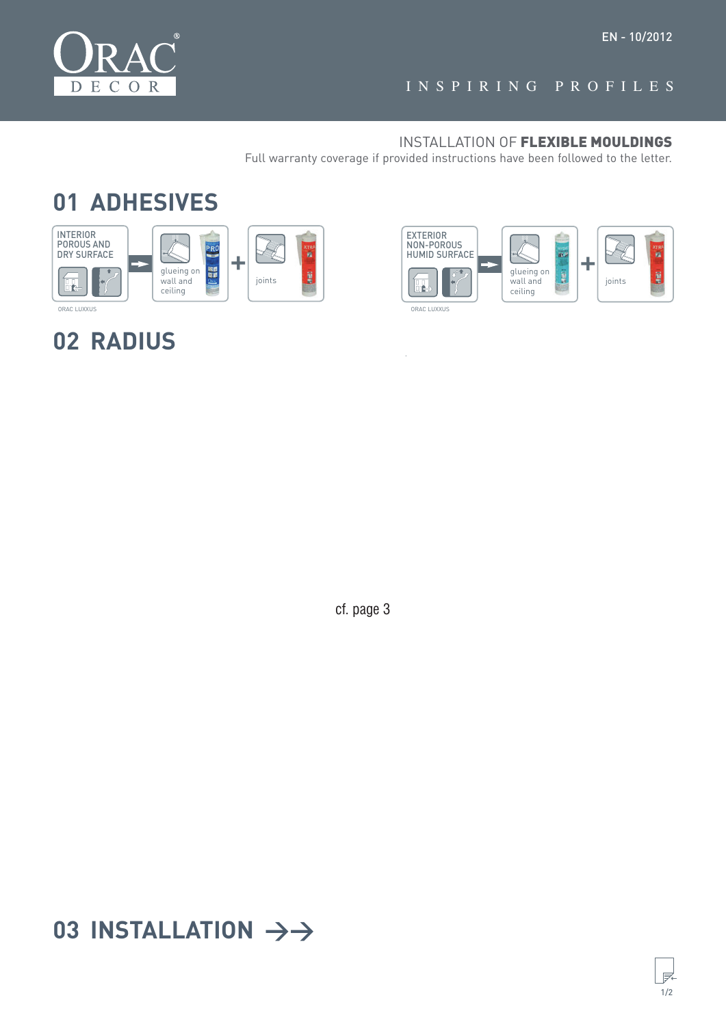

### INSPIRING PROFILES

#### INSTALLATION OF FLEXIBLE MOULDINGS

Full warranty coverage if provided instructions have been followed to the letter.

## **01 ADHESIVES**



# **02 RADIUS**



ef. page 3  $\mathcal{P}$  and  $\mathcal{P}$  is  $\mathcal{P}$ 

# 03 INSTALLATION  $\rightarrow$

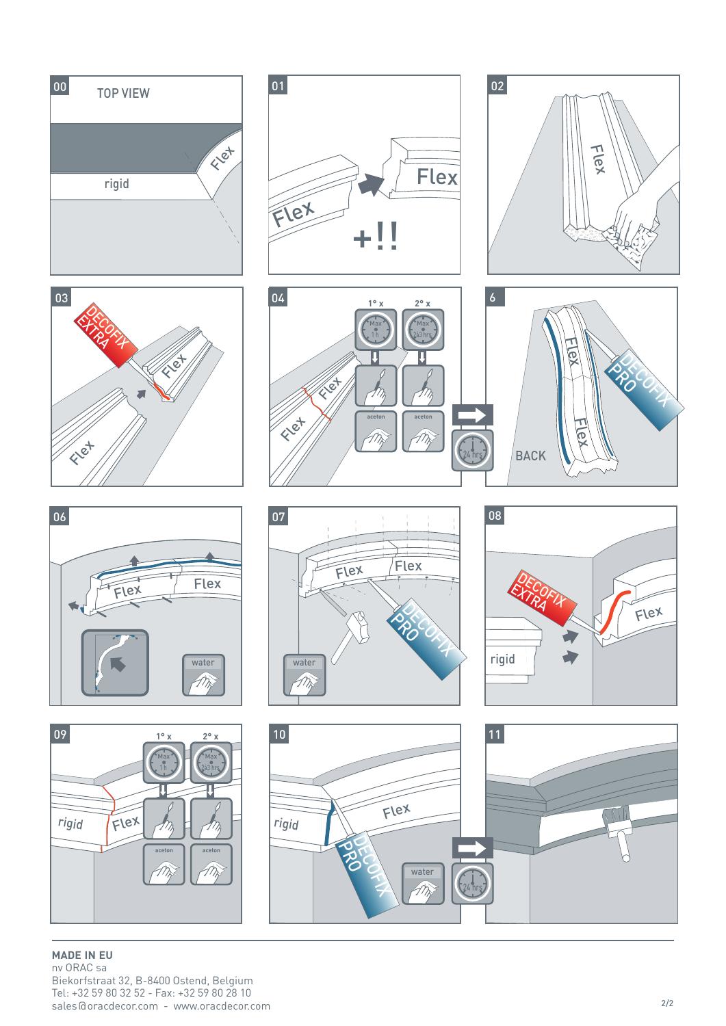

**MADE IN EU** nv ORAC sa Biekorfstraat 32, B-8400 Ostend, Belgium Tel: +32 59 80 32 52 - Fax: +32 59 80 28 10 sales@oracdecor.com - www.oracdecor.com 2/2